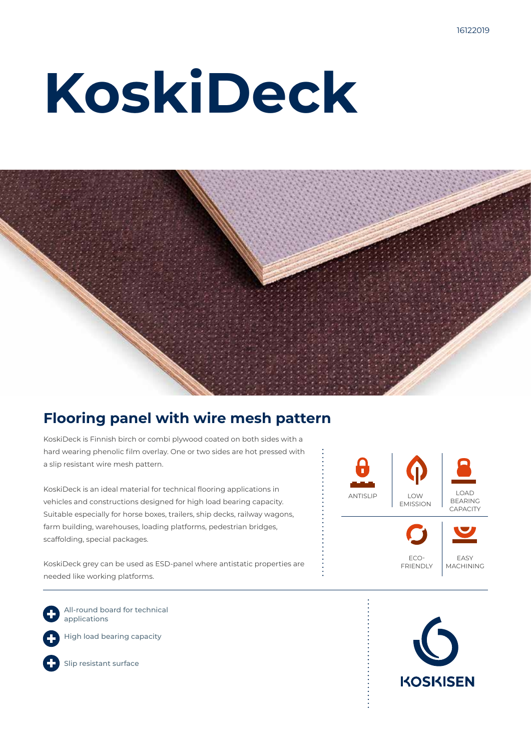# **KoskiDeck**



### **Flooring panel with wire mesh pattern**

KoskiDeck is Finnish birch or combi plywood coated on both sides with a hard wearing phenolic film overlay. One or two sides are hot pressed with a slip resistant wire mesh pattern.

KoskiDeck is an ideal material for technical flooring applications in vehicles and constructions designed for high load bearing capacity. Suitable especially for horse boxes, trailers, ship decks, railway wagons, farm building, warehouses, loading platforms, pedestrian bridges, scaffolding, special packages.

KoskiDeck grey can be used as ESD-panel where antistatic properties are needed like working platforms.

All-round board for technical applications

High load bearing capacity





Slip resistant surface